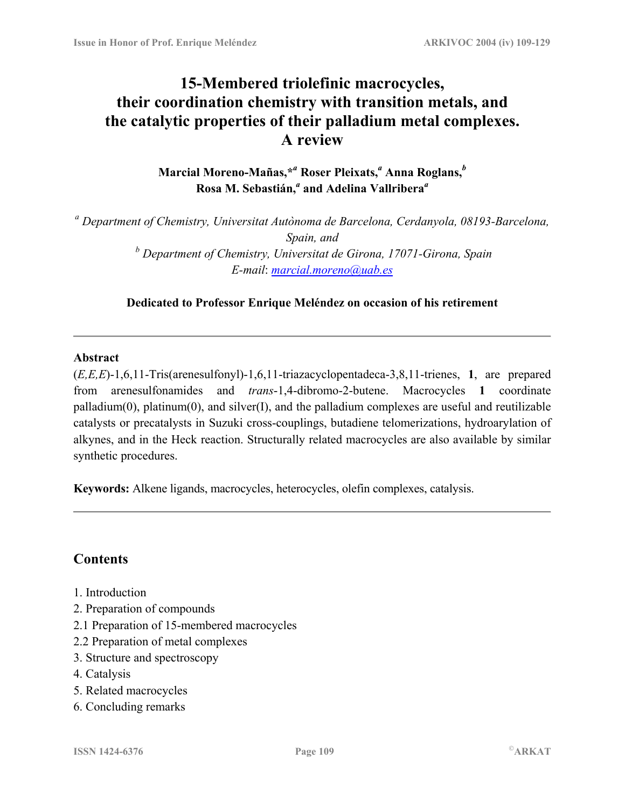# **15-Membered triolefinic macrocycles, their coordination chemistry with transition metals, and the catalytic properties of their palladium metal complexes. A review**

**Marcial Moreno-Mañas,\****<sup>a</sup>*  **Roser Pleixats,***<sup>a</sup>*  **Anna Roglans,***<sup>b</sup>* **Rosa M. Sebastián,***<sup>a</sup>*  **and Adelina Vallribera***<sup>a</sup>*

*<sup>a</sup> Department of Chemistry, Universitat Autònoma de Barcelona, Cerdanyola, 08193-Barcelona, Spain, and b Department of Chemistry, Universitat de Girona, 17071-Girona, Spain E-mail*: *[marcial.moreno@uab.es](mailto:marcial.moreno@uab.es)*

**Dedicated to Professor Enrique Meléndez on occasion of his retirement** 

#### **Abstract**

(*E,E,E*)-1,6,11-Tris(arenesulfonyl)-1,6,11-triazacyclopentadeca-3,8,11-trienes, **1**, are prepared from arenesulfonamides and *trans*-1,4-dibromo-2-butene. Macrocycles **1** coordinate palladium(0), platinum(0), and silver(I), and the palladium complexes are useful and reutilizable catalysts or precatalysts in Suzuki cross-couplings, butadiene telomerizations, hydroarylation of alkynes, and in the Heck reaction. Structurally related macrocycles are also available by similar synthetic procedures.

**Keywords:** Alkene ligands, macrocycles, heterocycles, olefin complexes, catalysis.

## **Contents**

- 1. Introduction
- 2. Preparation of compounds
- 2.1 Preparation of 15-membered macrocycles
- 2.2 Preparation of metal complexes
- 3. Structure and spectroscopy
- 4. Catalysis
- 5. Related macrocycles
- 6. Concluding remarks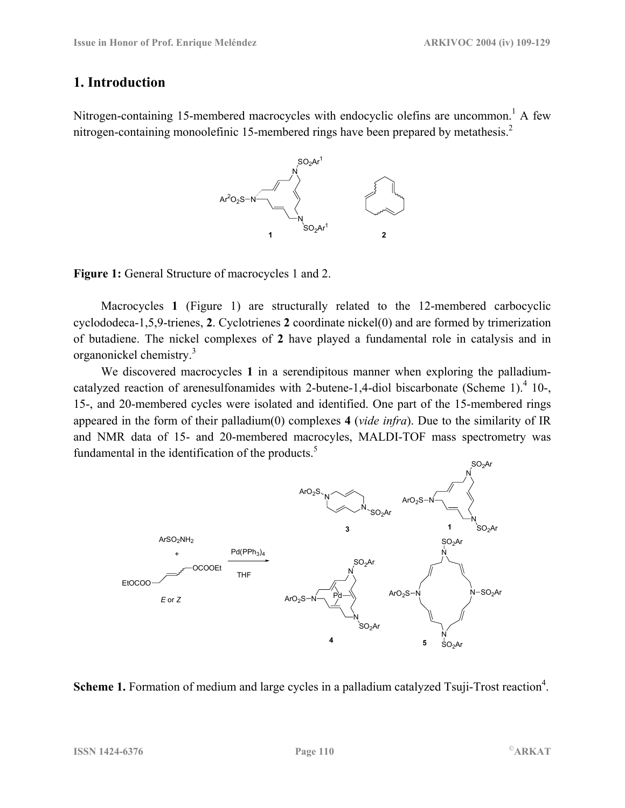## **1. Introduction**

Nitrogen-containing 15-membered macrocycles with endocyclic olefins are uncommon.<sup>1</sup> A few nitrogen-containing monoolefinic 15-membered rings have been prepared by metathesis.2



**Figure 1:** General Structure of macrocycles 1 and 2.

Macrocycles **1** (Figure 1) are structurally related to the 12-membered carbocyclic cyclododeca-1,5,9-trienes, **2**. Cyclotrienes **2** coordinate nickel(0) and are formed by trimerization of butadiene. The nickel complexes of **2** have played a fundamental role in catalysis and in organonickel chemistry.3

We discovered macrocycles **1** in a serendipitous manner when exploring the palladiumcatalyzed reaction of arenesulfonamides with 2-butene-1,4-diol biscarbonate (Scheme 1).<sup>4</sup> 10-, 15-, and 20-membered cycles were isolated and identified. One part of the 15-membered rings appeared in the form of their palladium(0) complexes **4** (*vide infra*). Due to the similarity of IR and NMR data of 15- and 20-membered macrocyles, MALDI-TOF mass spectrometry was fundamental in the identification of the products. $5$ 



Scheme 1. Formation of medium and large cycles in a palladium catalyzed Tsuji-Trost reaction<sup>4</sup>.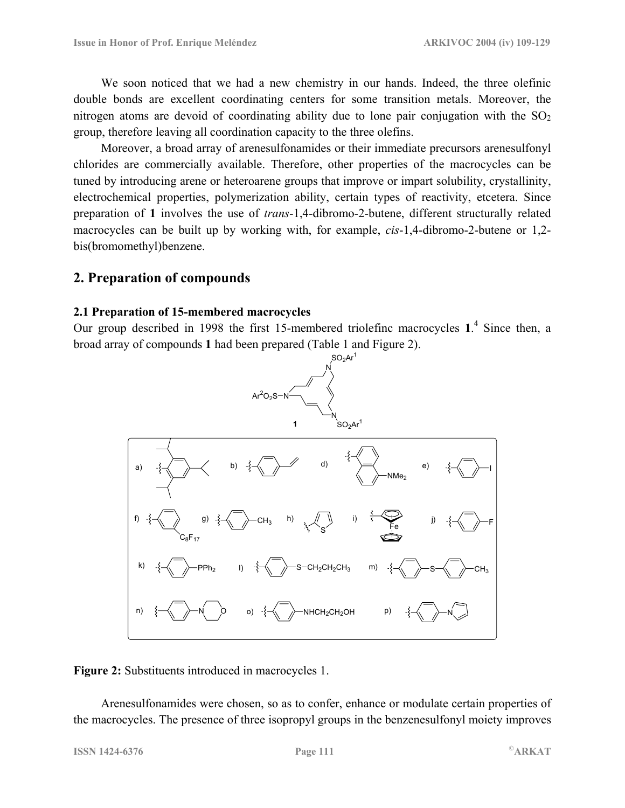We soon noticed that we had a new chemistry in our hands. Indeed, the three olefinic double bonds are excellent coordinating centers for some transition metals. Moreover, the nitrogen atoms are devoid of coordinating ability due to lone pair conjugation with the  $SO<sub>2</sub>$ group, therefore leaving all coordination capacity to the three olefins.

Moreover, a broad array of arenesulfonamides or their immediate precursors arenesulfonyl chlorides are commercially available. Therefore, other properties of the macrocycles can be tuned by introducing arene or heteroarene groups that improve or impart solubility, crystallinity, electrochemical properties, polymerization ability, certain types of reactivity, etcetera. Since preparation of **1** involves the use of *trans*-1,4-dibromo-2-butene, different structurally related macrocycles can be built up by working with, for example, *cis*-1,4-dibromo-2-butene or 1,2 bis(bromomethyl)benzene.

#### **2. Preparation of compounds**

#### **2.1 Preparation of 15-membered macrocycles**

Our group described in 1998 the first 15-membered triolefinc macrocycles **1**. 4 Since then, a broad array of compounds **1** had been prepared (Table 1 and Figure 2).



#### **Figure 2:** Substituents introduced in macrocycles 1.

Arenesulfonamides were chosen, so as to confer, enhance or modulate certain properties of the macrocycles. The presence of three isopropyl groups in the benzenesulfonyl moiety improves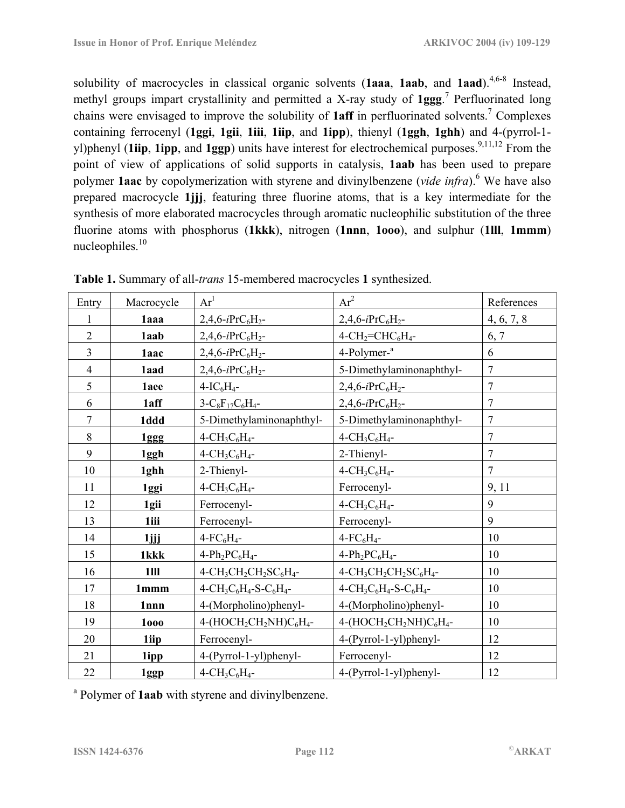solubility of macrocycles in classical organic solvents (**1aaa**, **1aab**, and **1aad**).<sup>4,6-8</sup> Instead, methyl groups impart crystallinity and permitted a X-ray study of **1ggg**. 7 Perfluorinated long chains were envisaged to improve the solubility of **1aff** in perfluorinated solvents.7 Complexes containing ferrocenyl (**1ggi**, **1gii**, **1iii**, **1iip**, and **1ipp**), thienyl (**1ggh**, **1ghh**) and 4-(pyrrol-1 yl)phenyl (**1iip**, **1ipp**, and **1ggp**) units have interest for electrochemical purposes.<sup>9,11,12</sup> From the point of view of applications of solid supports in catalysis, **1aab** has been used to prepare polymer **1aac** by copolymerization with styrene and divinylbenzene (*vide infra*).<sup>6</sup> We have also prepared macrocycle **1jjj**, featuring three fluorine atoms, that is a key intermediate for the synthesis of more elaborated macrocycles through aromatic nucleophilic substitution of the three fluorine atoms with phosphorus (**1kkk**), nitrogen (**1nnn**, **1ooo**), and sulphur (**1lll**, **1mmm**) nucleophiles.

| Entry          | Macrocycle | $Ar^1$                                                                             | $Ar^2$                                                                             | References     |
|----------------|------------|------------------------------------------------------------------------------------|------------------------------------------------------------------------------------|----------------|
| 1              | 1aaa       | $2,4,6-iPrC_6H_2-$                                                                 | $2,4,6-iPrC_6H_2-$                                                                 | 4, 6, 7, 8     |
| $\overline{2}$ | 1aab       | $2,4,6-iPrC_6H_2-$                                                                 | $4$ -CH <sub>2</sub> =CHC <sub>6</sub> H <sub>4</sub> -                            | 6, 7           |
| $\overline{3}$ | 1aac       | $2,4,6-iPrC_6H_2-$                                                                 | 4-Polymer- <sup>a</sup>                                                            | 6              |
| $\overline{4}$ | 1aad       | $2,4,6-iPrC_6H_2-$                                                                 | 5-Dimethylaminonaphthyl-                                                           | $\overline{7}$ |
| 5              | 1aee       | $4-I C6H4$ -                                                                       | $2,4,6$ -iPrC <sub>6</sub> H <sub>2</sub> -                                        | $\overline{7}$ |
| 6              | 1aff       | $3-C_8F_{17}C_6H_4$ -                                                              | $2,4,6-iPrC_6H_2-$                                                                 | $\overline{7}$ |
| $\overline{7}$ | 1ddd       | 5-Dimethylaminonaphthyl-                                                           | 5-Dimethylaminonaphthyl-                                                           | $\overline{7}$ |
| 8              | 1ggg       | $4$ -CH <sub>3</sub> C <sub>6</sub> H <sub>4</sub> -                               | $4$ -CH <sub>3</sub> C <sub>6</sub> H <sub>4</sub> -                               | $\overline{7}$ |
| 9              | 1ggh       | $4$ -CH <sub>3</sub> C <sub>6</sub> H <sub>4</sub> -                               | 2-Thienyl-                                                                         | $\overline{7}$ |
| 10             | 1ghh       | 2-Thienyl-                                                                         | $4$ -CH <sub>3</sub> C <sub>6</sub> H <sub>4</sub> -                               | $\overline{7}$ |
| 11             | 1ggi       | $4$ -CH <sub>3</sub> C <sub>6</sub> H <sub>4</sub> -                               | Ferrocenyl-                                                                        | 9, 11          |
| 12             | 1gii       | Ferrocenyl-                                                                        | $4$ -CH <sub>3</sub> C <sub>6</sub> H <sub>4</sub> -                               | 9              |
| 13             | 1iii       | Ferrocenyl-                                                                        | Ferrocenyl-                                                                        | 9              |
| 14             | $1$ jjj    | $4$ -FC <sub>6</sub> H <sub>4</sub> -                                              | $4$ -FC <sub>6</sub> H <sub>4</sub> -                                              | 10             |
| 15             | 1kkk       | $4-Ph_2PC_6H_4-$                                                                   | $4-Ph_2PC_6H_4-$                                                                   | 10             |
| 16             | 1III       | 4-CH <sub>3</sub> CH <sub>2</sub> CH <sub>2</sub> SC <sub>6</sub> H <sub>4</sub> - | 4-CH <sub>3</sub> CH <sub>2</sub> CH <sub>2</sub> SC <sub>6</sub> H <sub>4</sub> - | 10             |
| 17             | 1mmm       | $4 - CH_3C_6H_4 - S - C_6H_4 -$                                                    | $4 - CH_3C_6H_4 - S - C_6H_4 -$                                                    | 10             |
| 18             | 1nnn       | 4-(Morpholino)phenyl-                                                              | 4-(Morpholino)phenyl-                                                              | 10             |
| 19             | 1000       | 4-(HOCH <sub>2</sub> CH <sub>2</sub> NH)C <sub>6</sub> H <sub>4</sub> -            | $4-(HOCH2CH2NH)C6H4$ -                                                             | 10             |
| 20             | 1iip       | Ferrocenyl-                                                                        | 4-(Pyrrol-1-yl)phenyl-                                                             | 12             |
| 21             | 1ipp       | 4-(Pyrrol-1-yl)phenyl-                                                             | Ferrocenyl-                                                                        | 12             |
| 22             | 1ggp       | $4$ -CH <sub>3</sub> C <sub>6</sub> H <sub>4</sub> -                               | 4-(Pyrrol-1-yl)phenyl-                                                             | 12             |

|  |  | <b>Table 1.</b> Summary of all- <i>trans</i> 15-membered macrocycles 1 synthesized. |  |
|--|--|-------------------------------------------------------------------------------------|--|
|  |  |                                                                                     |  |

<sup>a</sup> Polymer of **1aab** with styrene and divinylbenzene.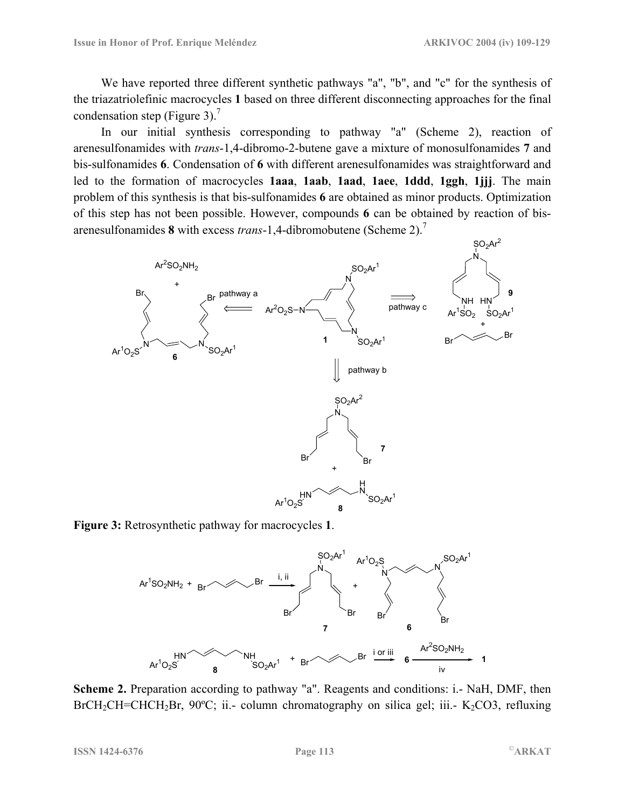We have reported three different synthetic pathways "a", "b", and "c" for the synthesis of the triazatriolefinic macrocycles **1** based on three different disconnecting approaches for the final condensation step (Figure 3).<sup>7</sup>

In our initial synthesis corresponding to pathway "a" (Scheme 2), reaction of arenesulfonamides with *trans*-1,4-dibromo-2-butene gave a mixture of monosulfonamides **7** and bis-sulfonamides **6**. Condensation of **6** with different arenesulfonamides was straightforward and led to the formation of macrocycles **1aaa**, **1aab**, **1aad**, **1aee**, **1ddd**, **1ggh**, **1jjj**. The main problem of this synthesis is that bis-sulfonamides **6** are obtained as minor products. Optimization of this step has not been possible. However, compounds **6** can be obtained by reaction of bisarenesulfonamides **8** with excess *trans*-1,4-dibromobutene (Scheme 2).7



**Figure 3:** Retrosynthetic pathway for macrocycles **1**.



**Scheme 2.** Preparation according to pathway "a". Reagents and conditions: i.- NaH, DMF, then BrCH<sub>2</sub>CH=CHCH<sub>2</sub>Br, 90°C; ii.- column chromatography on silica gel; iii.- K<sub>2</sub>CO3, refluxing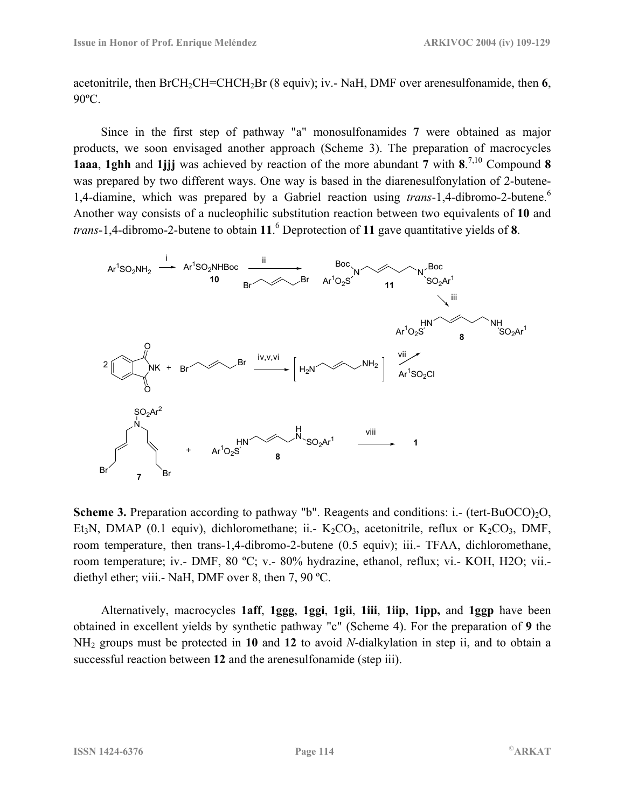acetonitrile, then BrCH2CH=CHCH2Br (8 equiv); iv.- NaH, DMF over arenesulfonamide, then **6**, 90ºC.

Since in the first step of pathway "a" monosulfonamides **7** were obtained as major products, we soon envisaged another approach (Scheme 3). The preparation of macrocycles **1aaa**, **1ghh** and **1jjj** was achieved by reaction of the more abundant **7** with **8**. 7,10 Compound **8** was prepared by two different ways. One way is based in the diarenesulfonylation of 2-butene-1,4-diamine, which was prepared by a Gabriel reaction using *trans*-1,4-dibromo-2-butene.<sup>6</sup> Another way consists of a nucleophilic substitution reaction between two equivalents of **10** and *trans*-1,4-dibromo-2-butene to obtain **11**. 6 Deprotection of **11** gave quantitative yields of **8**.



**Scheme 3.** Preparation according to pathway "b". Reagents and conditions: i.- (tert-BuOCO)<sub>2</sub>O, Et<sub>3</sub>N, DMAP (0.1 equiv), dichloromethane; ii.  $K_2CO_3$ , acetonitrile, reflux or  $K_2CO_3$ , DMF, room temperature, then trans-1,4-dibromo-2-butene (0.5 equiv); iii.- TFAA, dichloromethane, room temperature; iv.- DMF, 80 ºC; v.- 80% hydrazine, ethanol, reflux; vi.- KOH, H2O; vii. diethyl ether; viii.- NaH, DMF over 8, then 7, 90 ºC.

Alternatively, macrocycles **1aff**, **1ggg**, **1ggi**, **1gii**, **1iii**, **1iip**, **1ipp,** and **1ggp** have been obtained in excellent yields by synthetic pathway "c" (Scheme 4). For the preparation of **9** the NH2 groups must be protected in **10** and **12** to avoid *N*-dialkylation in step ii, and to obtain a successful reaction between **12** and the arenesulfonamide (step iii).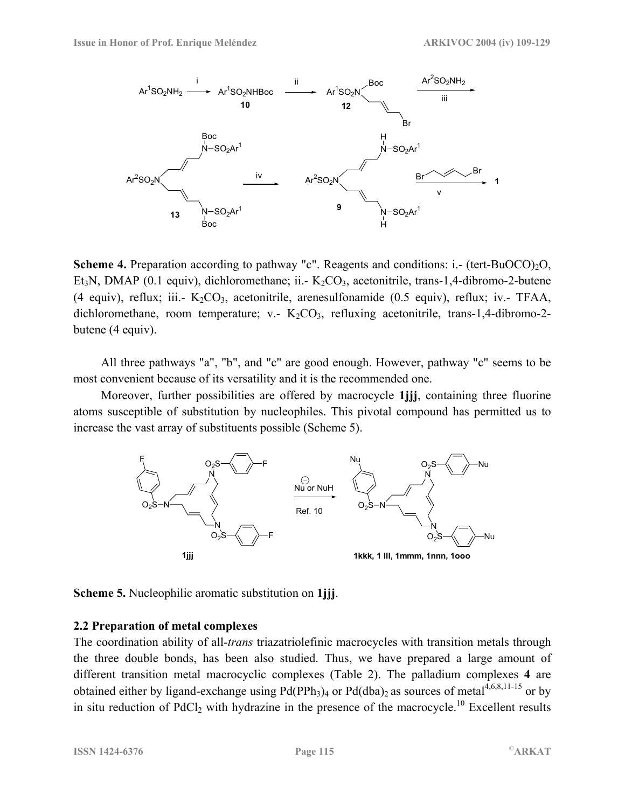

**Scheme 4.** Preparation according to pathway "c". Reagents and conditions: i.- (tert-BuOCO)<sub>2</sub>O, Et<sub>3</sub>N, DMAP (0.1 equiv), dichloromethane; ii. -  $K_2CO_3$ , acetonitrile, trans-1,4-dibromo-2-butene (4 equiv), reflux; iii.  $K_2CO_3$ , acetonitrile, arenesulfonamide (0.5 equiv), reflux; iv. TFAA, dichloromethane, room temperature; v.  $K_2CO_3$ , refluxing acetonitrile, trans-1,4-dibromo-2butene (4 equiv).

All three pathways "a", "b", and "c" are good enough. However, pathway "c" seems to be most convenient because of its versatility and it is the recommended one.

Moreover, further possibilities are offered by macrocycle **1jjj**, containing three fluorine atoms susceptible of substitution by nucleophiles. This pivotal compound has permitted us to increase the vast array of substituents possible (Scheme 5).



**Scheme 5.** Nucleophilic aromatic substitution on **1jjj**.

#### **2.2 Preparation of metal complexes**

The coordination ability of all-*trans* triazatriolefinic macrocycles with transition metals through the three double bonds, has been also studied. Thus, we have prepared a large amount of different transition metal macrocyclic complexes (Table 2). The palladium complexes **4** are obtained either by ligand-exchange using  $Pd(PPh_3)_4$  or  $Pd(dba)_2$  as sources of metal<sup>4,6,8,11-15</sup> or by in situ reduction of PdCl<sub>2</sub> with hydrazine in the presence of the macrocycle.<sup>10</sup> Excellent results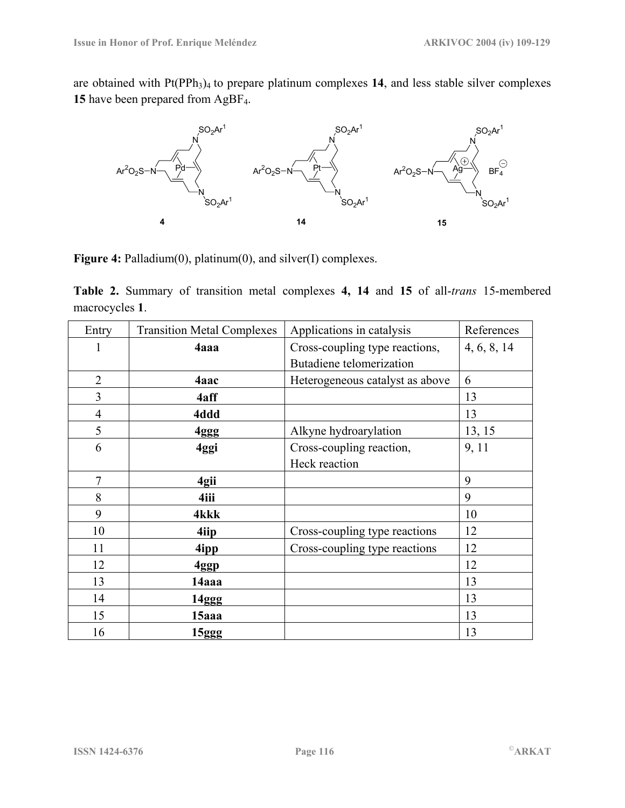are obtained with Pt(PPh<sub>3</sub>)<sub>4</sub> to prepare platinum complexes 14, and less stable silver complexes **15** have been prepared from AgBF4.



**Figure 4:** Palladium(0), platinum(0), and silver(I) complexes.

**Table 2.** Summary of transition metal complexes **4, 14** and **15** of all-*trans* 15-membered macrocycles **1**.

| Entry          | Applications in catalysis<br><b>Transition Metal Complexes</b> |                                 | References |
|----------------|----------------------------------------------------------------|---------------------------------|------------|
| 1              | 4aaa                                                           | Cross-coupling type reactions,  |            |
|                |                                                                | Butadiene telomerization        |            |
| $\overline{2}$ | 4aac                                                           | Heterogeneous catalyst as above | 6          |
| 3              | 4aff                                                           |                                 | 13         |
| 4              | 4ddd                                                           |                                 | 13         |
| 5              | 4ggg                                                           | Alkyne hydroarylation           | 13, 15     |
| 6              | 4ggi                                                           | Cross-coupling reaction,        | 9, 11      |
|                |                                                                | Heck reaction                   |            |
| $\overline{7}$ | 4gii                                                           |                                 | 9          |
| 8              | 4iii                                                           |                                 | 9          |
| 9              | 4kkk                                                           |                                 | 10         |
| 10             | 4iip                                                           | Cross-coupling type reactions   | 12         |
| 11             | 4ipp                                                           | Cross-coupling type reactions   | 12         |
| 12             | 4ggp                                                           |                                 | 12         |
| 13             | 14aaa                                                          |                                 | 13         |
| 14             | 14ggg                                                          |                                 | 13         |
| 15             | 15aaa                                                          |                                 | 13         |
| 16             | 15ggg                                                          |                                 | 13         |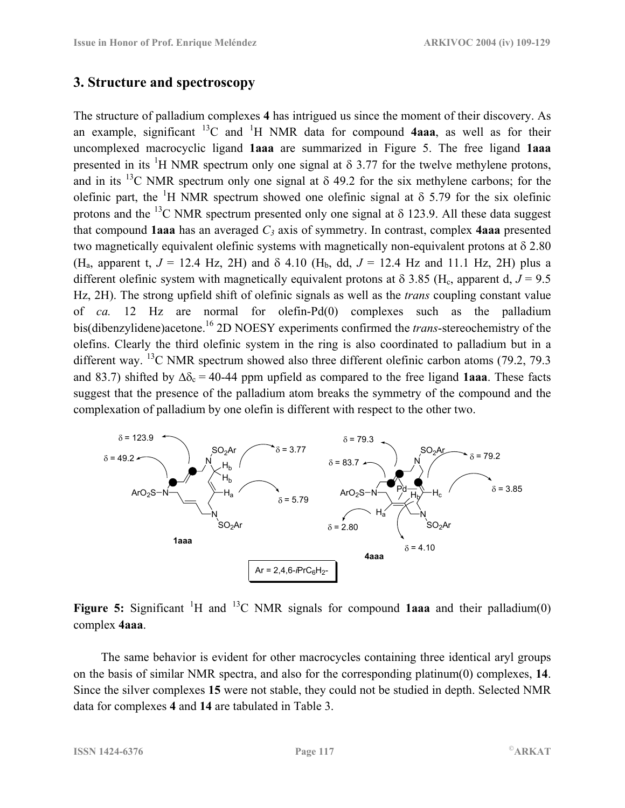## **3. Structure and spectroscopy**

The structure of palladium complexes **4** has intrigued us since the moment of their discovery. As an example, significant  $^{13}C$  and  $^{1}H$  NMR data for compound **4aaa**, as well as for their uncomplexed macrocyclic ligand **1aaa** are summarized in Figure 5. The free ligand **1aaa**  presented in its <sup>1</sup>H NMR spectrum only one signal at  $\delta$  3.77 for the twelve methylene protons, and in its <sup>13</sup>C NMR spectrum only one signal at  $\delta$  49.2 for the six methylene carbons; for the olefinic part, the <sup>1</sup>H NMR spectrum showed one olefinic signal at  $\delta$  5.79 for the six olefinic protons and the <sup>13</sup>C NMR spectrum presented only one signal at  $\delta$  123.9. All these data suggest that compound **1aaa** has an averaged  $C_3$  axis of symmetry. In contrast, complex **4aaa** presented two magnetically equivalent olefinic systems with magnetically non-equivalent protons at δ 2.80 (H<sub>a</sub>, apparent t,  $J = 12.4$  Hz, 2H) and  $\delta$  4.10 (H<sub>b</sub>, dd,  $J = 12.4$  Hz and 11.1 Hz, 2H) plus a different olefinic system with magnetically equivalent protons at  $\delta$  3.85 (H<sub>c</sub>, apparent d,  $J = 9.5$ ) Hz, 2H). The strong upfield shift of olefinic signals as well as the *trans* coupling constant value of *ca.* 12 Hz are normal for olefin-Pd(0) complexes such as the palladium bis(dibenzylidene)acetone.16 2D NOESY experiments confirmed the *trans*-stereochemistry of the olefins. Clearly the third olefinic system in the ring is also coordinated to palladium but in a different way. <sup>13</sup>C NMR spectrum showed also three different olefinic carbon atoms (79.2, 79.3) and 83.7) shifted by  $\Delta \delta_c = 40$ -44 ppm upfield as compared to the free ligand **1aaa**. These facts suggest that the presence of the palladium atom breaks the symmetry of the compound and the complexation of palladium by one olefin is different with respect to the other two.



**Figure 5:** Significant <sup>1</sup>H and <sup>13</sup>C NMR signals for compound **1aaa** and their palladium(0) complex **4aaa**.

The same behavior is evident for other macrocycles containing three identical aryl groups on the basis of similar NMR spectra, and also for the corresponding platinum(0) complexes, **14**. Since the silver complexes **15** were not stable, they could not be studied in depth. Selected NMR data for complexes **4** and **14** are tabulated in Table 3.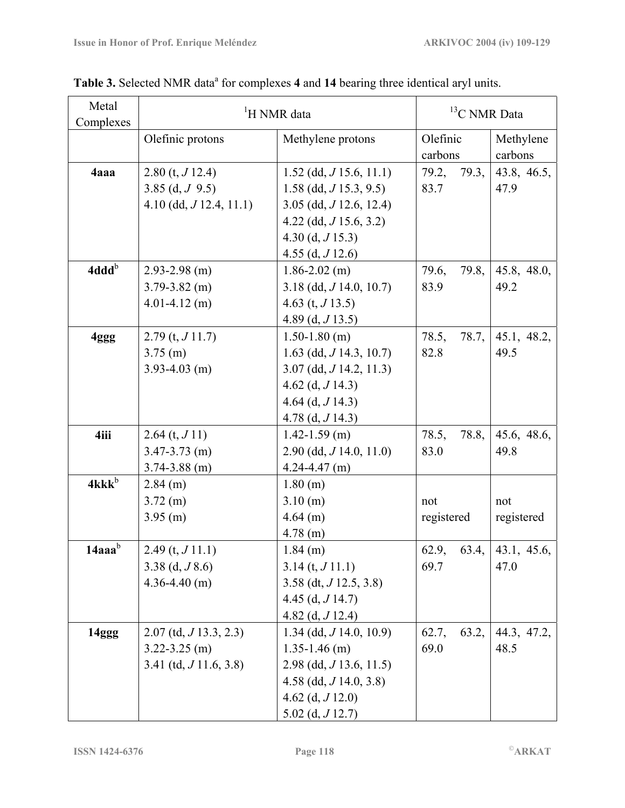| Metal<br>Complexes | <sup>1</sup> H NMR data     |                             | $13$ C NMR Data     |                      |
|--------------------|-----------------------------|-----------------------------|---------------------|----------------------|
|                    | Olefinic protons            | Methylene protons           | Olefinic<br>carbons | Methylene<br>carbons |
| 4aaa               | $2.80$ (t, $J12.4$ )        | $1.52$ (dd, $J$ 15.6, 11.1) | 79.3,<br>79.2,      | 43.8, 46.5,          |
|                    | 3.85 (d, $J$ 9.5)           | $1.58$ (dd, $J$ 15.3, 9.5)  | 83.7                | 47.9                 |
|                    | $4.10$ (dd, $J$ 12.4, 11.1) | $3.05$ (dd, $J$ 12.6, 12.4) |                     |                      |
|                    |                             | 4.22 (dd, $J$ 15.6, 3.2)    |                     |                      |
|                    |                             | $4.30$ (d, $J15.3$ )        |                     |                      |
|                    |                             | 4.55 (d, $J$ 12.6)          |                     |                      |
| 4ddd <sup>b</sup>  | $2.93 - 2.98$ (m)           | $1.86 - 2.02$ (m)           | 79.8,<br>79.6,      | 45.8, 48.0,          |
|                    | $3.79 - 3.82$ (m)           | $3.18$ (dd, $J$ 14.0, 10.7) | 83.9                | 49.2                 |
|                    | $4.01 - 4.12$ (m)           | 4.63 (t, $J$ 13.5)          |                     |                      |
|                    |                             | 4.89 (d, $J$ 13.5)          |                     |                      |
| 4ggg               | $2.79$ (t, $J11.7$ )        | $1.50 - 1.80$ (m)           | 78.5,<br>78.7,      | 45.1, 48.2,          |
|                    | $3.75$ (m)                  | 1.63 (dd, $J$ 14.3, 10.7)   | 82.8                | 49.5                 |
|                    | $3.93 - 4.03$ (m)           | $3.07$ (dd, $J$ 14.2, 11.3) |                     |                      |
|                    |                             | 4.62 (d, $J$ 14.3)          |                     |                      |
|                    |                             | 4.64 (d, $J$ 14.3)          |                     |                      |
|                    |                             | 4.78 (d, $J$ 14.3)          |                     |                      |
| 4iii               | $2.64$ (t, $J11$ )          | $1.42 - 1.59$ (m)           | 78.5,<br>78.8,      | 45.6, 48.6,          |
|                    | $3.47 - 3.73$ (m)           | $2.90$ (dd, $J$ 14.0, 11.0) | 83.0                | 49.8                 |
|                    | $3.74 - 3.88$ (m)           | $4.24 - 4.47$ (m)           |                     |                      |
| $4$ kk $k^b$       | $2.84$ (m)                  | 1.80(m)                     |                     |                      |
|                    | $3.72 \; (m)$               | 3.10(m)                     | not                 | not                  |
|                    | $3.95$ (m)                  | $4.64$ (m)                  | registered          | registered           |
|                    |                             | $4.78$ (m)                  |                     |                      |
| $14$ aaa $b$       | $2.49$ (t, $J11.1$ )        | $1.84$ (m)                  | 62.9,               | 63.4, 43.1, 45.6,    |
|                    | 3.38 (d, $J$ 8.6)           | $3.14$ (t, $J11.1$ )        | 69.7                | 47.0                 |
|                    | $4.36 - 4.40$ (m)           | $3.58$ (dt, $J$ 12.5, 3.8)  |                     |                      |
|                    |                             | 4.45 (d, $J$ 14.7)          |                     |                      |
|                    |                             | 4.82 (d, $J$ 12.4)          |                     |                      |
| 14ggg              | $2.07$ (td, $J$ 13.3, 2.3)  | $1.34$ (dd, $J$ 14.0, 10.9) | 63.2,<br>62.7,      | 44.3, 47.2,          |
|                    | $3.22 - 3.25$ (m)           | $1.35 - 1.46$ (m)           | 69.0                | 48.5                 |
|                    | $3.41$ (td, $J11.6, 3.8$ )  | $2.98$ (dd, $J$ 13.6, 11.5) |                     |                      |
|                    |                             | 4.58 (dd, $J$ 14.0, 3.8)    |                     |                      |
|                    |                             | 4.62 (d, $J$ 12.0)          |                     |                      |
|                    |                             | $5.02$ (d, $J$ 12.7)        |                     |                      |

Table 3. Selected NMR data<sup>a</sup> for complexes 4 and 14 bearing three identical aryl units.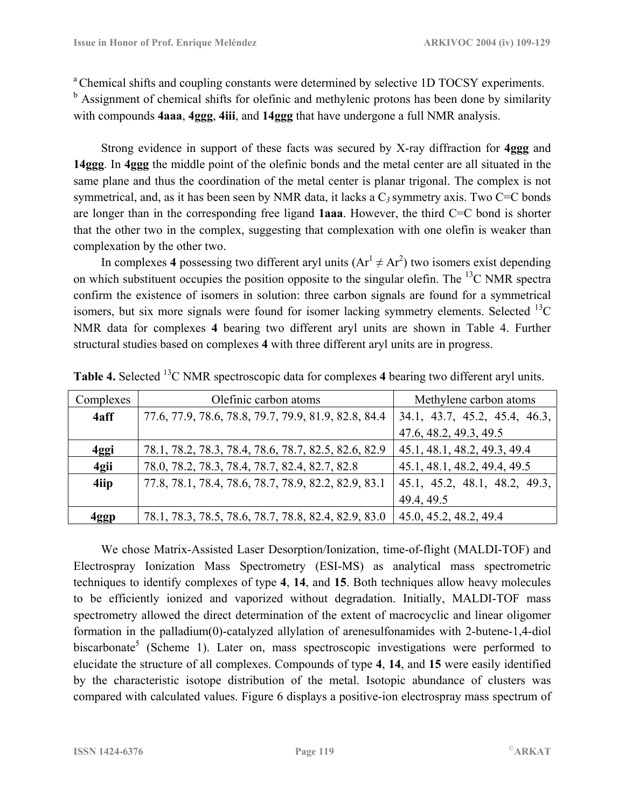<sup>a</sup> Chemical shifts and coupling constants were determined by selective 1D TOCSY experiments. <sup>b</sup> Assignment of chemical shifts for olefinic and methylenic protons has been done by similarity with compounds **4aaa**, **4ggg**, **4iii**, and **14ggg** that have undergone a full NMR analysis.

Strong evidence in support of these facts was secured by X-ray diffraction for **4ggg** and **14ggg**. In **4ggg** the middle point of the olefinic bonds and the metal center are all situated in the same plane and thus the coordination of the metal center is planar trigonal. The complex is not symmetrical, and, as it has been seen by NMR data, it lacks a C*3* symmetry axis. Two C=C bonds are longer than in the corresponding free ligand **1aaa**. However, the third C=C bond is shorter that the other two in the complex, suggesting that complexation with one olefin is weaker than complexation by the other two.

In complexes 4 possessing two different aryl units  $(Ar^1 \neq Ar^2)$  two isomers exist depending on which substituent occupies the position opposite to the singular olefin. The  $^{13}$ C NMR spectra confirm the existence of isomers in solution: three carbon signals are found for a symmetrical isomers, but six more signals were found for isomer lacking symmetry elements. Selected  $^{13}C$ NMR data for complexes **4** bearing two different aryl units are shown in Table 4. Further structural studies based on complexes **4** with three different aryl units are in progress.

| Complexes | Olefinic carbon atoms                                | Methylene carbon atoms        |  |
|-----------|------------------------------------------------------|-------------------------------|--|
| 4aff      | 77.6, 77.9, 78.6, 78.8, 79.7, 79.9, 81.9, 82.8, 84.4 | 34.1, 43.7, 45.2, 45.4, 46.3, |  |
|           |                                                      | 47.6, 48.2, 49.3, 49.5        |  |
| 4ggi      | 78.1, 78.2, 78.3, 78.4, 78.6, 78.7, 82.5, 82.6, 82.9 | 45.1, 48.1, 48.2, 49.3, 49.4  |  |
| 4gii      | 78.0, 78.2, 78.3, 78.4, 78.7, 82.4, 82.7, 82.8       | 45.1, 48.1, 48.2, 49.4, 49.5  |  |
| 4iip      | 77.8, 78.1, 78.4, 78.6, 78.7, 78.9, 82.2, 82.9, 83.1 | 45.1, 45.2, 48.1, 48.2, 49.3, |  |
|           |                                                      | 49.4, 49.5                    |  |
| 4ggp      | 78.1, 78.3, 78.5, 78.6, 78.7, 78.8, 82.4, 82.9, 83.0 | 45.0, 45.2, 48.2, 49.4        |  |

**Table 4.** Selected 13C NMR spectroscopic data for complexes **4** bearing two different aryl units.

We chose Matrix-Assisted Laser Desorption/Ionization, time-of-flight (MALDI-TOF) and Electrospray Ionization Mass Spectrometry (ESI-MS) as analytical mass spectrometric techniques to identify complexes of type **4**, **14**, and **15**. Both techniques allow heavy molecules to be efficiently ionized and vaporized without degradation. Initially, MALDI-TOF mass spectrometry allowed the direct determination of the extent of macrocyclic and linear oligomer formation in the palladium(0)-catalyzed allylation of arenesulfonamides with 2-butene-1,4-diol biscarbonate<sup>5</sup> (Scheme 1). Later on, mass spectroscopic investigations were performed to elucidate the structure of all complexes. Compounds of type **4**, **14**, and **15** were easily identified by the characteristic isotope distribution of the metal. Isotopic abundance of clusters was compared with calculated values. Figure 6 displays a positive-ion electrospray mass spectrum of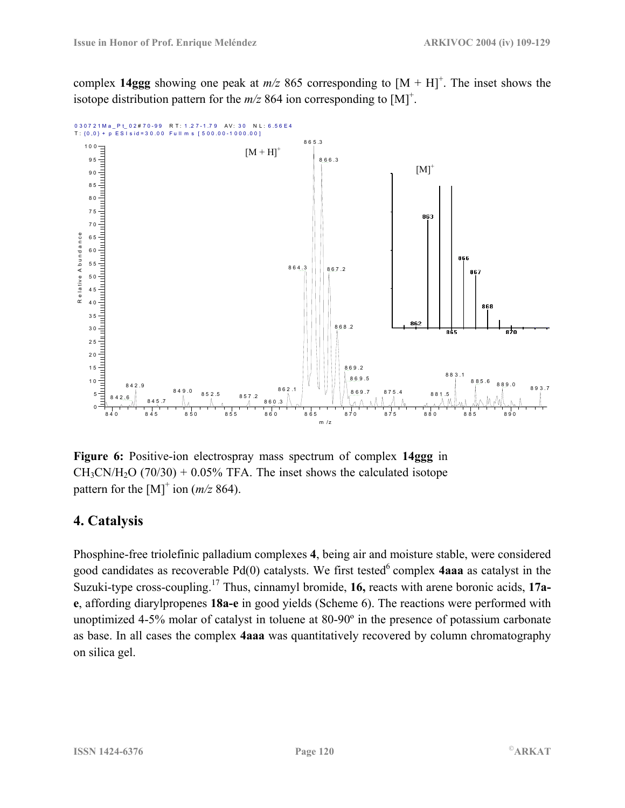complex 14ggg showing one peak at  $m/z$  865 corresponding to  $[M + H]^{+}$ . The inset shows the isotope distribution pattern for the  $m/z$  864 ion corresponding to [M]<sup>+</sup>.



**Figure 6:** Positive-ion electrospray mass spectrum of complex **14ggg** in  $CH_3CN/H_2O$  (70/30) + 0.05% TFA. The inset shows the calculated isotope pattern for the  $[M]^{+}$  ion ( $m/z$  864).

## **4. Catalysis**

Phosphine-free triolefinic palladium complexes **4**, being air and moisture stable, were considered good candidates as recoverable  $Pd(0)$  catalysts. We first tested<sup>6</sup> complex **4aaa** as catalyst in the Suzuki-type cross-coupling.17 Thus, cinnamyl bromide, **16,** reacts with arene boronic acids, **17ae**, affording diarylpropenes **18a-e** in good yields (Scheme 6). The reactions were performed with unoptimized 4-5% molar of catalyst in toluene at 80-90º in the presence of potassium carbonate as base. In all cases the complex **4aaa** was quantitatively recovered by column chromatography on silica gel.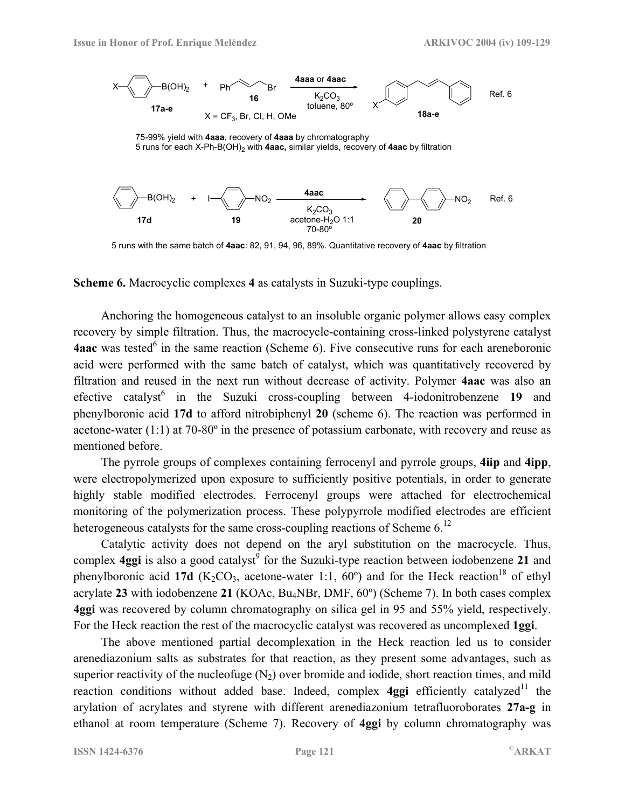

75-99% yield with **4aaa**, recovery of **4aaa** by chromatography 5 runs for each X-Ph-B(OH)2 with **4aac,** similar yields, recovery of **4aac** by filtration



5 runs with the same batch of **4aac**: 82, 91, 94, 96, 89%. Quantitative recovery of **4aac** by filtration

**Scheme 6.** Macrocyclic complexes **4** as catalysts in Suzuki-type couplings.

Anchoring the homogeneous catalyst to an insoluble organic polymer allows easy complex recovery by simple filtration. Thus, the macrocycle-containing cross-linked polystyrene catalyst **4aac** was tested<sup>6</sup> in the same reaction (Scheme 6). Five consecutive runs for each areneboronic acid were performed with the same batch of catalyst, which was quantitatively recovered by filtration and reused in the next run without decrease of activity. Polymer **4aac** was also an efective catalyst<sup>6</sup> in the Suzuki cross-coupling between 4-iodonitrobenzene 19 and phenylboronic acid **17d** to afford nitrobiphenyl **20** (scheme 6). The reaction was performed in acetone-water (1:1) at 70-80º in the presence of potassium carbonate, with recovery and reuse as mentioned before.

The pyrrole groups of complexes containing ferrocenyl and pyrrole groups, **4iip** and **4ipp**, were electropolymerized upon exposure to sufficiently positive potentials, in order to generate highly stable modified electrodes. Ferrocenyl groups were attached for electrochemical monitoring of the polymerization process. These polypyrrole modified electrodes are efficient heterogeneous catalysts for the same cross-coupling reactions of Scheme  $6<sup>12</sup>$ 

Catalytic activity does not depend on the aryl substitution on the macrocycle. Thus, complex **4ggi** is also a good catalyst<sup>9</sup> for the Suzuki-type reaction between iodobenzene 21 and phenylboronic acid 17d ( $K_2CO_3$ , acetone-water 1:1, 60<sup>o</sup>) and for the Heck reaction<sup>18</sup> of ethyl acrylate **23** with iodobenzene **21** (KOAc, Bu4NBr, DMF, 60º) (Scheme 7). In both cases complex **4ggi** was recovered by column chromatography on silica gel in 95 and 55% yield, respectively. For the Heck reaction the rest of the macrocyclic catalyst was recovered as uncomplexed **1ggi**.

The above mentioned partial decomplexation in the Heck reaction led us to consider arenediazonium salts as substrates for that reaction, as they present some advantages, such as superior reactivity of the nucleofuge  $(N_2)$  over bromide and iodide, short reaction times, and mild reaction conditions without added base. Indeed, complex **4ggi** efficiently catalyzed<sup>11</sup> the arylation of acrylates and styrene with different arenediazonium tetrafluoroborates **27a-g** in ethanol at room temperature (Scheme 7). Recovery of **4ggi** by column chromatography was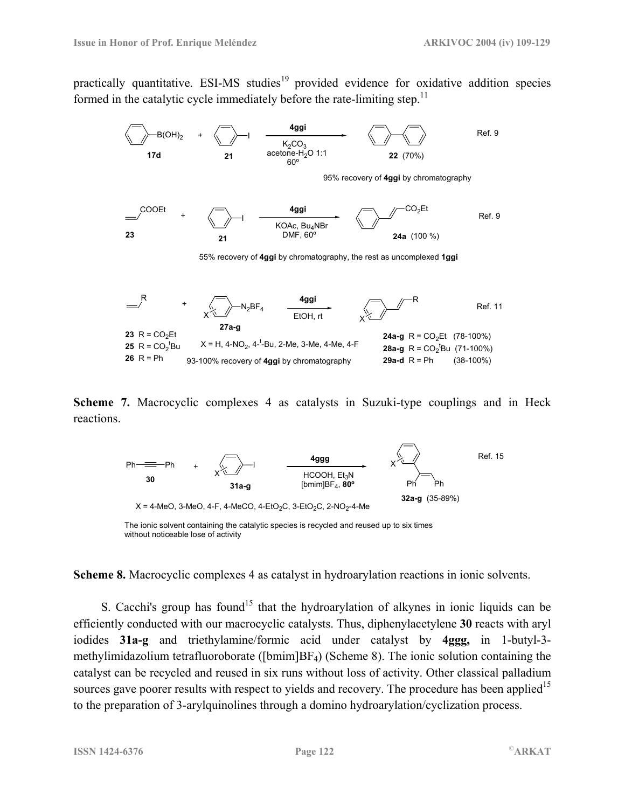practically quantitative. ESI-MS studies<sup>19</sup> provided evidence for oxidative addition species formed in the catalytic cycle immediately before the rate-limiting step.<sup>11</sup>



**Scheme 7.** Macrocyclic complexes 4 as catalysts in Suzuki-type couplings and in Heck reactions.



The ionic solvent containing the catalytic species is recycled and reused up to six times without noticeable lose of activity

**Scheme 8.** Macrocyclic complexes 4 as catalyst in hydroarylation reactions in ionic solvents.

S. Cacchi's group has found<sup>15</sup> that the hydroarylation of alkynes in ionic liquids can be efficiently conducted with our macrocyclic catalysts. Thus, diphenylacetylene **30** reacts with aryl iodides **31a-g** and triethylamine/formic acid under catalyst by **4ggg,** in 1-butyl-3 methylimidazolium tetrafluoroborate ([bmim]BF4) (Scheme 8). The ionic solution containing the catalyst can be recycled and reused in six runs without loss of activity. Other classical palladium sources gave poorer results with respect to yields and recovery. The procedure has been applied<sup>15</sup> to the preparation of 3-arylquinolines through a domino hydroarylation/cyclization process.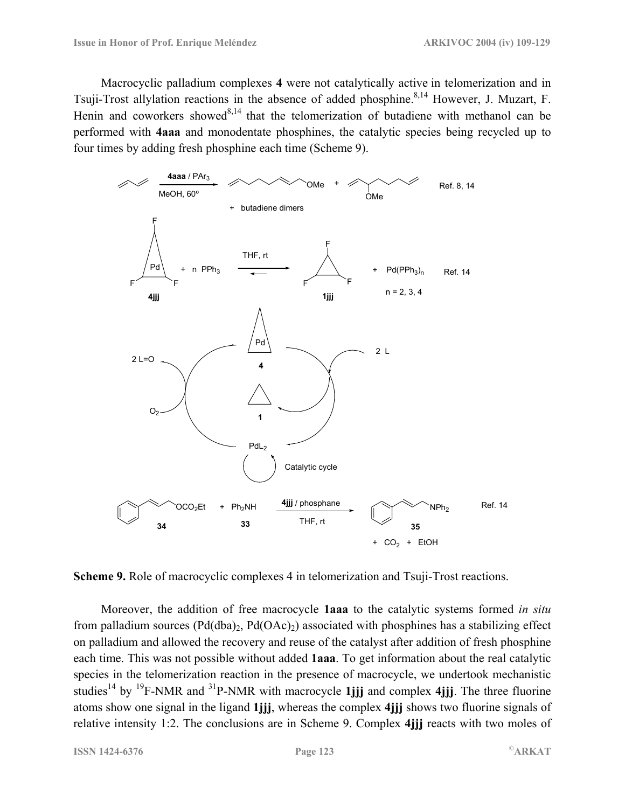Macrocyclic palladium complexes **4** were not catalytically active in telomerization and in Tsuji-Trost allylation reactions in the absence of added phosphine.<sup>8,14</sup> However, J. Muzart, F. Henin and coworkers showed<sup>8,14</sup> that the telomerization of butadiene with methanol can be performed with **4aaa** and monodentate phosphines, the catalytic species being recycled up to four times by adding fresh phosphine each time (Scheme 9).



**Scheme 9.** Role of macrocyclic complexes 4 in telomerization and Tsuji-Trost reactions.

Moreover, the addition of free macrocycle **1aaa** to the catalytic systems formed *in situ* from palladium sources  $(Pd(dba)_{2}, Pd(OAc)_{2})$  associated with phosphines has a stabilizing effect on palladium and allowed the recovery and reuse of the catalyst after addition of fresh phosphine each time. This was not possible without added **1aaa**. To get information about the real catalytic species in the telomerization reaction in the presence of macrocycle, we undertook mechanistic studies<sup>14</sup> by <sup>19</sup>F-NMR and <sup>31</sup>P-NMR with macrocycle **1** iii and complex 4 iii. The three fluorine atoms show one signal in the ligand **1jjj**, whereas the complex **4jjj** shows two fluorine signals of relative intensity 1:2. The conclusions are in Scheme 9. Complex **4jjj** reacts with two moles of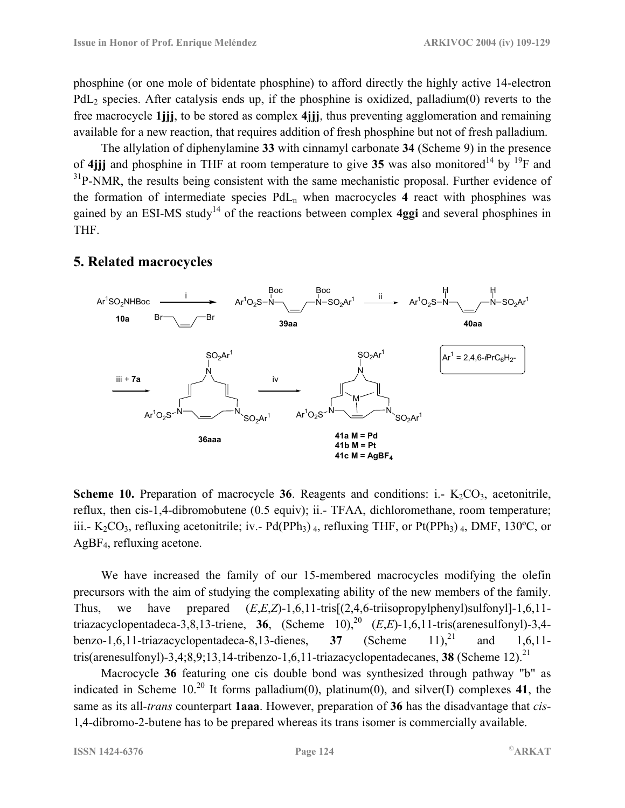phosphine (or one mole of bidentate phosphine) to afford directly the highly active 14-electron  $PdL<sub>2</sub>$  species. After catalysis ends up, if the phosphine is oxidized, palladium(0) reverts to the free macrocycle **1jjj**, to be stored as complex **4jjj**, thus preventing agglomeration and remaining available for a new reaction, that requires addition of fresh phosphine but not of fresh palladium.

The allylation of diphenylamine **33** with cinnamyl carbonate **34** (Scheme 9) in the presence of 4*jjj* and phosphine in THF at room temperature to give 35 was also monitored<sup>14</sup> by <sup>19</sup>F and  $31P-NMR$ , the results being consistent with the same mechanistic proposal. Further evidence of the formation of intermediate species  $PdL_n$  when macrocycles 4 react with phosphines was gained by an ESI-MS study<sup>14</sup> of the reactions between complex **4ggi** and several phosphines in THF.

#### Ar<sup>1</sup>SO<sub>2</sub>NHBoc ———<sup>i</sup> Br $\overline{\phantom{a}}$  are  $\overline{\phantom{a}}$  $N \rightarrow \qquad \qquad \sqrt{N}$ Boc  $SO_2$ Ar<sup>1</sup> Boc  $Ar<sup>1</sup>$  $O_2S - N \rightarrow$   $\overline{N} - SO_2Ar^1 - N$  $N \rightarrow \qquad \qquad \sqrt{N}$ H  $\mathsf{SO}_2\mathsf{Ar}^1$ H  $Ar^1O_2S$ iii + **7a**  $N \rightarrow \sim N$  $SO_2$ Ar<sup>1</sup> SO2Ar Ar <sup>1</sup> <sup>1</sup> O2S N **36aaa**  $N \rightarrow$   $\rightarrow$   $\rightarrow$   $\rightarrow$  $SO_2Ar^1$  $Ar^1O_2S^{-N}$   $\longrightarrow$   $\longrightarrow$   $\longrightarrow$   $\sim$   $\sim$   $SO_2Ar^1$ N **41a M = Pd 41b M = Pt**  $41c$  M = AgBF<sub>4</sub> iv M **10a 39aa 40aa**  $Ar<sup>1</sup>$  $= 2,4,6$ -*i*PrC<sub>6</sub>H<sub>2</sub>

## **5. Related macrocycles**

**Scheme 10.** Preparation of macrocycle 36. Reagents and conditions: i.-  $K_2CO_3$ , acetonitrile, reflux, then cis-1,4-dibromobutene (0.5 equiv); ii.- TFAA, dichloromethane, room temperature; iii.- K<sub>2</sub>CO<sub>3</sub>, refluxing acetonitrile; iv.- Pd(PPh<sub>3</sub>) <sub>4</sub>, refluxing THF, or Pt(PPh<sub>3</sub>) <sub>4</sub>, DMF, 130°C, or AgBF4, refluxing acetone.

We have increased the family of our 15-membered macrocycles modifying the olefin precursors with the aim of studying the complexating ability of the new members of the family. Thus, we have prepared  $(E,E,Z)$ -1,6,11-tris $[(2,4,6-1.1\text{ isomorphism of }10,11-1.6,11-1.6]$ triazacyclopentadeca-3,8,13-triene, 36, (Scheme 10),<sup>20</sup>  $(E.E)$ -1,6,11-tris(arenesulfonyl)-3,4benzo-1,6,11-triazacyclopentadeca-8,13-dienes,  $37$  (Scheme 11),<sup>21</sup> and 1,6,11tris(arenesulfonyl)-3,4;8,9;13,14-tribenzo-1,6,11-triazacyclopentadecanes, **38** (Scheme 12).<sup>21</sup>

Macrocycle **36** featuring one cis double bond was synthesized through pathway "b" as indicated in Scheme  $10^{20}$  It forms palladium(0), platinum(0), and silver(I) complexes 41, the same as its all-*trans* counterpart **1aaa**. However, preparation of **36** has the disadvantage that *cis*-1,4-dibromo-2-butene has to be prepared whereas its trans isomer is commercially available.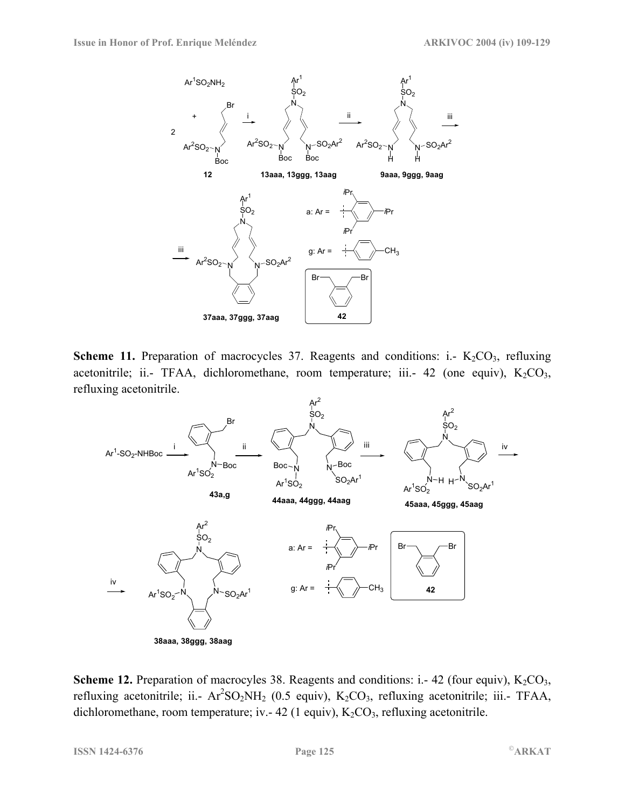

**Scheme 11.** Preparation of macrocycles 37. Reagents and conditions: i.-  $K_2CO_3$ , refluxing acetonitrile; ii.- TFAA, dichloromethane, room temperature; iii.- 42 (one equiv),  $K_2CO_3$ , refluxing acetonitrile.



**Scheme 12.** Preparation of macrocyles 38. Reagents and conditions: i.- 42 (four equiv),  $K_2CO_3$ , refluxing acetonitrile; ii.-  $Ar^2SO_2NH_2$  (0.5 equiv),  $K_2CO_3$ , refluxing acetonitrile; iii.- TFAA, dichloromethane, room temperature; iv. - 42 (1 equiv),  $K_2CO_3$ , refluxing acetonitrile.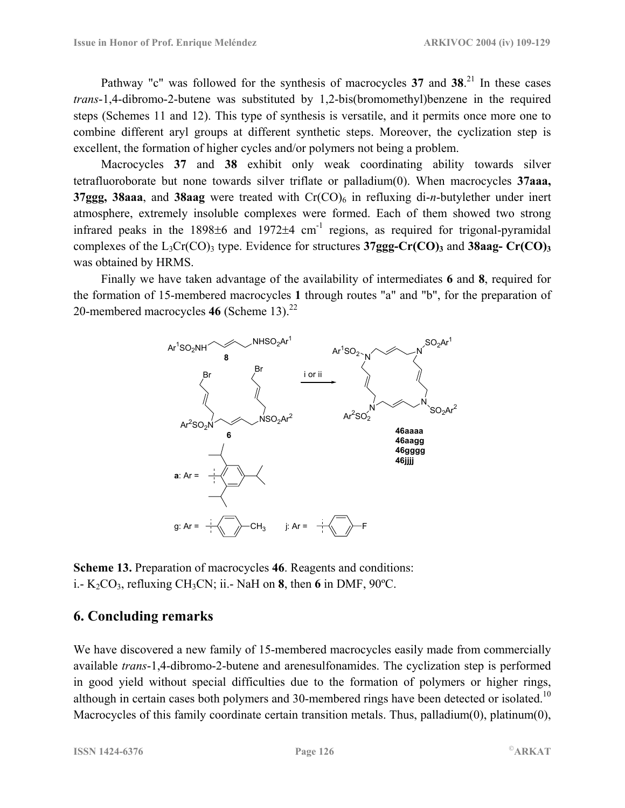Pathway "c" was followed for the synthesis of macrocycles 37 and 38.<sup>21</sup> In these cases *trans*-1,4-dibromo-2-butene was substituted by 1,2-bis(bromomethyl)benzene in the required steps (Schemes 11 and 12). This type of synthesis is versatile, and it permits once more one to combine different aryl groups at different synthetic steps. Moreover, the cyclization step is excellent, the formation of higher cycles and/or polymers not being a problem.

Macrocycles **37** and **38** exhibit only weak coordinating ability towards silver tetrafluoroborate but none towards silver triflate or palladium(0). When macrocycles **37aaa, 37ggg, 38aaa**, and **38aag** were treated with Cr(CO)<sub>6</sub> in refluxing di-*n*-butylether under inert atmosphere, extremely insoluble complexes were formed. Each of them showed two strong infrared peaks in the  $1898\pm6$  and  $1972\pm4$  cm<sup>-1</sup> regions, as required for trigonal-pyramidal complexes of the  $L_3Cr(CO)$ <sub>3</sub> type. Evidence for structures  $37ggg-Cr(CO)$ <sub>3</sub> and  $38aag-Cr(CO)$ <sub>3</sub> was obtained by HRMS.

Finally we have taken advantage of the availability of intermediates **6** and **8**, required for the formation of 15-membered macrocycles **1** through routes "a" and "b", for the preparation of 20-membered macrocycles 46 (Scheme 13).<sup>22</sup>



**Scheme 13.** Preparation of macrocycles **46**. Reagents and conditions: i.-  $K_2CO_3$ , refluxing CH<sub>3</sub>CN; ii.- NaH on **8**, then 6 in DMF, 90°C.

#### **6. Concluding remarks**

We have discovered a new family of 15-membered macrocycles easily made from commercially available *trans*-1,4-dibromo-2-butene and arenesulfonamides. The cyclization step is performed in good yield without special difficulties due to the formation of polymers or higher rings, although in certain cases both polymers and 30-membered rings have been detected or isolated.<sup>10</sup> Macrocycles of this family coordinate certain transition metals. Thus, palladium(0), platinum(0),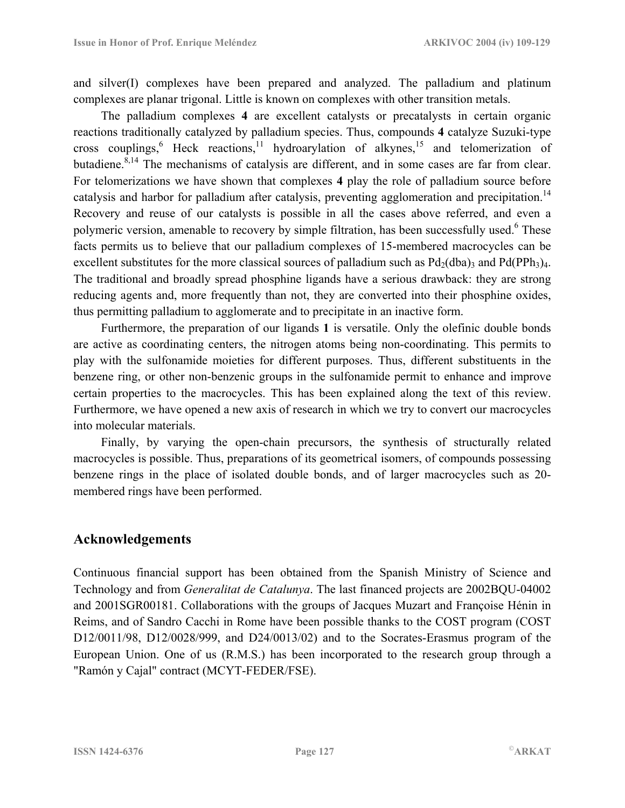and silver $(I)$  complexes have been prepared and analyzed. The palladium and platinum complexes are planar trigonal. Little is known on complexes with other transition metals.

The palladium complexes **4** are excellent catalysts or precatalysts in certain organic reactions traditionally catalyzed by palladium species. Thus, compounds **4** catalyze Suzuki-type cross couplings, Heck reactions, <sup>11</sup> hydroarylation of alkynes, <sup>15</sup> and telomerization of butadiene. $8,14$  The mechanisms of catalysis are different, and in some cases are far from clear. For telomerizations we have shown that complexes **4** play the role of palladium source before catalysis and harbor for palladium after catalysis, preventing agglomeration and precipitation.<sup>14</sup> Recovery and reuse of our catalysts is possible in all the cases above referred, and even a polymeric version, amenable to recovery by simple filtration, has been successfully used.<sup>6</sup> These facts permits us to believe that our palladium complexes of 15-membered macrocycles can be excellent substitutes for the more classical sources of palladium such as  $Pd_2(dba)$ <sub>3</sub> and  $Pd(PPh_3)_{4}$ . The traditional and broadly spread phosphine ligands have a serious drawback: they are strong reducing agents and, more frequently than not, they are converted into their phosphine oxides, thus permitting palladium to agglomerate and to precipitate in an inactive form.

Furthermore, the preparation of our ligands **1** is versatile. Only the olefinic double bonds are active as coordinating centers, the nitrogen atoms being non-coordinating. This permits to play with the sulfonamide moieties for different purposes. Thus, different substituents in the benzene ring, or other non-benzenic groups in the sulfonamide permit to enhance and improve certain properties to the macrocycles. This has been explained along the text of this review. Furthermore, we have opened a new axis of research in which we try to convert our macrocycles into molecular materials.

Finally, by varying the open-chain precursors, the synthesis of structurally related macrocycles is possible. Thus, preparations of its geometrical isomers, of compounds possessing benzene rings in the place of isolated double bonds, and of larger macrocycles such as 20 membered rings have been performed.

#### **Acknowledgements**

Continuous financial support has been obtained from the Spanish Ministry of Science and Technology and from *Generalitat de Catalunya*. The last financed projects are 2002BQU-04002 and 2001SGR00181. Collaborations with the groups of Jacques Muzart and Françoise Hénin in Reims, and of Sandro Cacchi in Rome have been possible thanks to the COST program (COST D12/0011/98, D12/0028/999, and D24/0013/02) and to the Socrates-Erasmus program of the European Union. One of us (R.M.S.) has been incorporated to the research group through a "Ramón y Cajal" contract (MCYT-FEDER/FSE).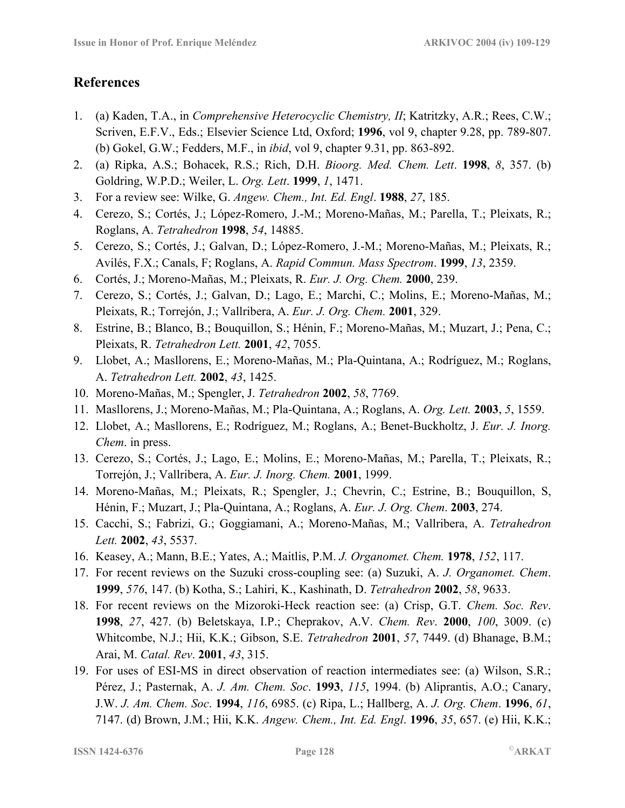## **References**

- 1. (a) Kaden, T.A., in *Comprehensive Heterocyclic Chemistry, II*; Katritzky, A.R.; Rees, C.W.; Scriven, E.F.V., Eds.; Elsevier Science Ltd, Oxford; **1996**, vol 9, chapter 9.28, pp. 789-807. (b) Gokel, G.W.; Fedders, M.F., in *ibid*, vol 9, chapter 9.31, pp. 863-892.
- 2. (a) Ripka, A.S.; Bohacek, R.S.; Rich, D.H. *Bioorg. Med. Chem. Lett*. **1998**, *8*, 357. (b) Goldring, W.P.D.; Weiler, L. *Org. Lett*. **1999**, *1*, 1471.
- 3. For a review see: Wilke, G. *Angew. Chem., Int. Ed. Engl*. **1988**, *27*, 185.
- 4. Cerezo, S.; Cortés, J.; López-Romero, J.-M.; Moreno-Mañas, M.; Parella, T.; Pleixats, R.; Roglans, A. *Tetrahedron* **1998**, *54*, 14885.
- 5. Cerezo, S.; Cortés, J.; Galvan, D.; López-Romero, J.-M.; Moreno-Mañas, M.; Pleixats, R.; Avilés, F.X.; Canals, F; Roglans, A. *Rapid Commun. Mass Spectrom*. **1999**, *13*, 2359.
- 6. Cortés, J.; Moreno-Mañas, M.; Pleixats, R. *Eur. J. Org. Chem.* **2000**, 239.
- 7. Cerezo, S.; Cortés, J.; Galvan, D.; Lago, E.; Marchi, C.; Molins, E.; Moreno-Mañas, M.; Pleixats, R.; Torrejón, J.; Vallribera, A. *Eur. J. Org. Chem.* **2001**, 329.
- 8. Estrine, B.; Blanco, B.; Bouquillon, S.; Hénin, F.; Moreno-Mañas, M.; Muzart, J.; Pena, C.; Pleixats, R. *Tetrahedron Lett.* **2001**, *42*, 7055.
- 9. Llobet, A.; Masllorens, E.; Moreno-Mañas, M.; Pla-Quintana, A.; Rodríguez, M.; Roglans, A. *Tetrahedron Lett.* **2002**, *43*, 1425.
- 10. Moreno-Mañas, M.; Spengler, J. *Tetrahedron* **2002**, *58*, 7769.
- 11. Masllorens, J.; Moreno-Mañas, M.; Pla-Quintana, A.; Roglans, A. *Org. Lett.* **2003**, *5*, 1559.
- 12. Llobet, A.; Masllorens, E.; Rodríguez, M.; Roglans, A.; Benet-Buckholtz, J. *Eur. J. Inorg. Chem*. in press.
- 13. Cerezo, S.; Cortés, J.; Lago, E.; Molins, E.; Moreno-Mañas, M.; Parella, T.; Pleixats, R.; Torrejón, J.; Vallribera, A. *Eur. J. Inorg. Chem.* **2001**, 1999.
- 14. Moreno-Mañas, M.; Pleixats, R.; Spengler, J.; Chevrin, C.; Estrine, B.; Bouquillon, S, Hénin, F.; Muzart, J.; Pla-Quintana, A.; Roglans, A. *Eur. J. Org. Chem*. **2003**, 274.
- 15. Cacchi, S.; Fabrizi, G.; Goggiamani, A.; Moreno-Mañas, M.; Vallribera, A. *Tetrahedron Lett.* **2002**, *43*, 5537.
- 16. Keasey, A.; Mann, B.E.; Yates, A.; Maitlis, P.M. *J. Organomet. Chem.* **1978**, *152*, 117.
- 17. For recent reviews on the Suzuki cross-coupling see: (a) Suzuki, A. *J. Organomet. Chem*. **1999**, *576*, 147. (b) Kotha, S.; Lahiri, K., Kashinath, D. *Tetrahedron* **2002**, *58*, 9633.
- 18. For recent reviews on the Mizoroki-Heck reaction see: (a) Crisp, G.T. *Chem. Soc. Rev*. **1998**, *27*, 427. (b) Beletskaya, I.P.; Cheprakov, A.V. *Chem. Rev*. **2000**, *100*, 3009. (c) Whitcombe, N.J.; Hii, K.K.; Gibson, S.E. *Tetrahedron* **2001**, *57*, 7449. (d) Bhanage, B.M.; Arai, M. *Catal. Rev*. **2001**, *43*, 315.
- 19. For uses of ESI-MS in direct observation of reaction intermediates see: (a) Wilson, S.R.; Pérez, J.; Pasternak, A. *J. Am. Chem. Soc*. **1993**, *115*, 1994. (b) Aliprantis, A.O.; Canary, J.W. *J. Am. Chem. Soc*. **1994**, *116*, 6985. (c) Ripa, L.; Hallberg, A. *J. Org. Chem*. **1996**, *61*, 7147. (d) Brown, J.M.; Hii, K.K. *Angew. Chem., Int. Ed. Engl*. **1996**, *35*, 657. (e) Hii, K.K.;